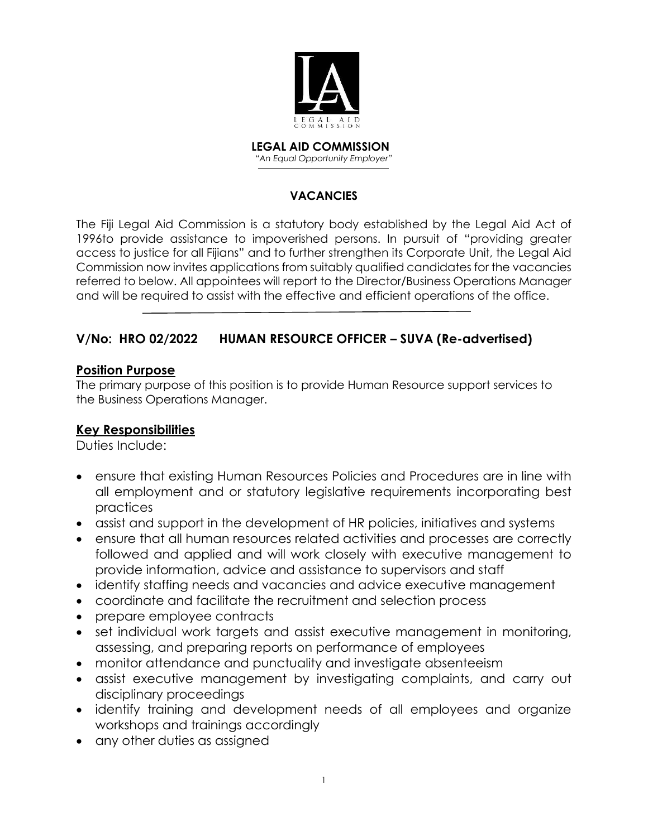

 **LEGAL AID COMMISSION** *"An Equal Opportunity Employer"*

#### **VACANCIES**

The Fiji Legal Aid Commission is a statutory body established by the Legal Aid Act of 1996to provide assistance to impoverished persons. In pursuit of "providing greater access to justice for all Fijians" and to further strengthen its Corporate Unit, the Legal Aid Commission now invites applications from suitably qualified candidates for the vacancies referred to below. All appointees will report to the Director/Business Operations Manager and will be required to assist with the effective and efficient operations of the office.

### **V/No: HRO 02/2022 HUMAN RESOURCE OFFICER – SUVA (Re-advertised)**

#### **Position Purpose**

The primary purpose of this position is to provide Human Resource support services to the Business Operations Manager.

### **Key Responsibilities**

Duties Include:

- ensure that existing Human Resources Policies and Procedures are in line with all employment and or statutory legislative requirements incorporating best practices
- assist and support in the development of HR policies, initiatives and systems
- ensure that all human resources related activities and processes are correctly followed and applied and will work closely with executive management to provide information, advice and assistance to supervisors and staff
- identify staffing needs and vacancies and advice executive management
- coordinate and facilitate the recruitment and selection process
- prepare employee contracts
- set individual work targets and assist executive management in monitoring, assessing, and preparing reports on performance of employees
- monitor attendance and punctuality and investigate absenteeism
- assist executive management by investigating complaints, and carry out disciplinary proceedings
- identify training and development needs of all employees and organize workshops and trainings accordingly
- any other duties as assigned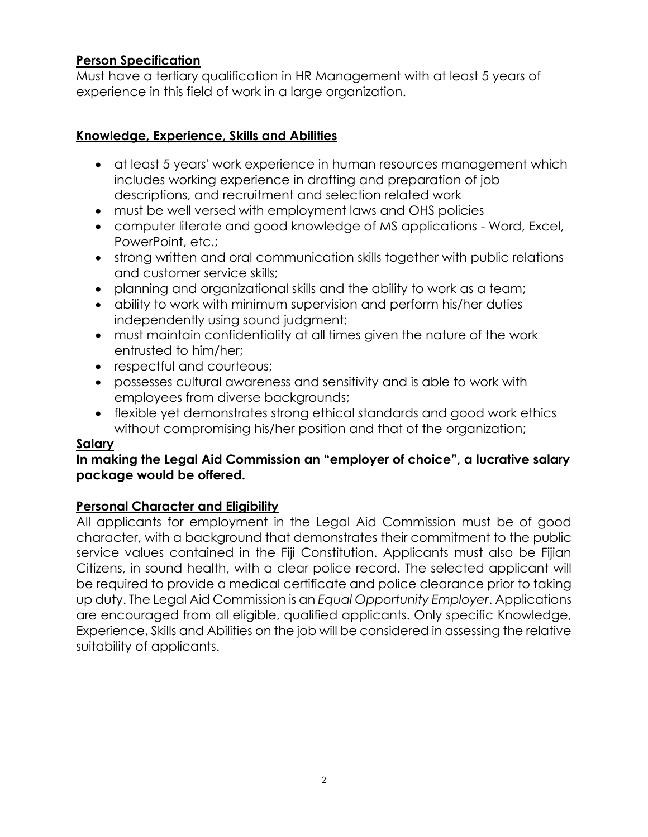## **Person Specification**

Must have a tertiary qualification in HR Management with at least 5 years of experience in this field of work in a large organization.

## **Knowledge, Experience, Skills and Abilities**

- at least 5 years' work experience in human resources management which includes working experience in drafting and preparation of job descriptions, and recruitment and selection related work
- must be well versed with employment laws and OHS policies
- computer literate and good knowledge of MS applications Word, Excel, PowerPoint, etc.;
- strong written and oral communication skills together with public relations and customer service skills;
- planning and organizational skills and the ability to work as a team;
- ability to work with minimum supervision and perform his/her duties independently using sound judgment;
- must maintain confidentiality at all times given the nature of the work entrusted to him/her;
- respectful and courteous;
- possesses cultural awareness and sensitivity and is able to work with employees from diverse backgrounds;
- flexible yet demonstrates strong ethical standards and good work ethics without compromising his/her position and that of the organization;

#### **Salary**

### In making the Legal Aid Commission an "employer of choice", a lucrative salary **package would be offered.**

### **Personal Character and Eligibility**

All applicants for employment in the Legal Aid Commission must be of good character, with a background that demonstrates their commitment to the public service values contained in the Fiji Constitution. Applicants must also be Fijian Citizens, in sound health, with a clear police record. The selected applicant will be required to provide a medical certificate and police clearance prior to taking up duty. The Legal Aid Commission is an *Equal Opportunity Employer*. Applications are encouraged from all eligible, qualified applicants. Only specific Knowledge, Experience, Skills and Abilities on the job will be considered in assessing the relative suitability of applicants.